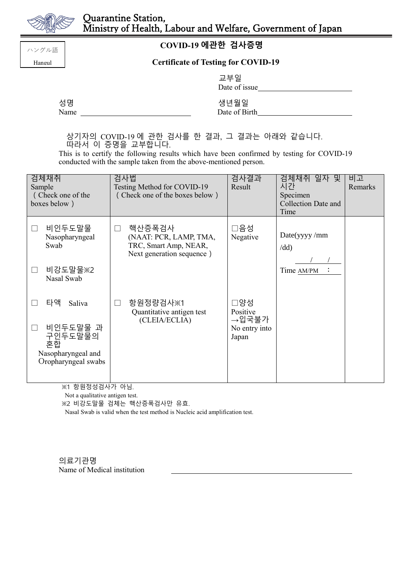

ハングル語 Hangul

## **COVID-19 에관한 검사증명**

## **Certificate of Testing for COVID-19**

|      | 교부일<br>Date of issue |
|------|----------------------|
| 성명   | 생년월일                 |
| Name | Date of Birth        |

상기자의 COVID-19 에 관한 검사를 한 결과, 그 결과는 아래와 같습니다. 따라서 이 증명을 교부합니다.

This is to certify the following results which have been confirmed by testing for COVID-19 conducted with the sample taken from the above-mentioned person.

| 검체채취<br>Sample<br>(Check one of the<br>boxes below)                    | 검사법<br>Testing Method for COVID-19<br>(Check one of the boxes below)                              | 검사결과<br>Result           | 검체채취 일자 및<br>시간<br>Specimen<br><b>Collection Date and</b><br>Time | 비고<br>Remarks |
|------------------------------------------------------------------------|---------------------------------------------------------------------------------------------------|--------------------------|-------------------------------------------------------------------|---------------|
| 비인두도말물<br>Nasopharyngeal<br>Swab                                       | 핵산증폭검사<br>$\perp$<br>(NAAT: PCR, LAMP, TMA,<br>TRC, Smart Amp, NEAR,<br>Next generation sequence) | □음성<br>Negative          | Date(yyyy/mm)<br>$\overline{d}$                                   |               |
| 비강도말물※2<br>Nasal Swab                                                  |                                                                                                   |                          | Time AM/PM                                                        |               |
| 타액<br>Saliva                                                           | 항원정량검사※1<br>Quantitative antigen test                                                             | □양성<br>Positive<br>→입국불가 |                                                                   |               |
| 비인두도말물 과<br>구인두도말물의<br>혼합<br>Nasopharyngeal and<br>Oropharyngeal swabs | (CLEIA/ECLIA)                                                                                     | No entry into<br>Japan   |                                                                   |               |

※1 항원정성검사가 아님.

Not a qualitative antigen test.

※2 비강도말물 검체는 핵산증폭검사만 유효.

Nasal Swab is valid when the test method is Nucleic acid amplification test.

의료기관명 Name of Medical institution